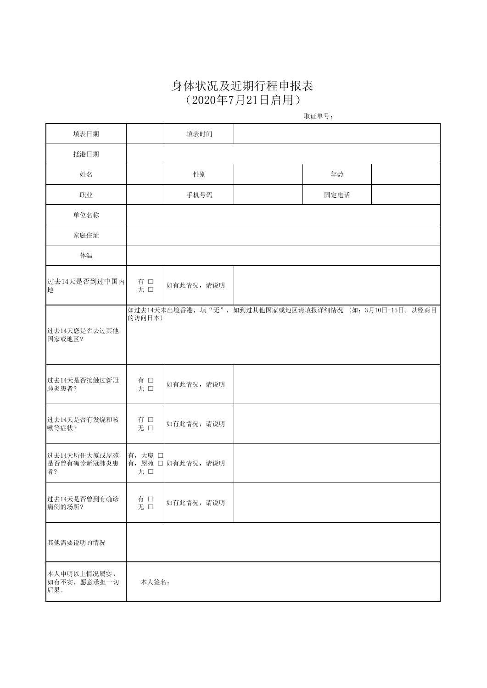## 身体状况及近期行程申报表 (2020年7月21日启用)

取证单号:

| 填表日期                                                                   | 填表时间      |                                                        |  |
|------------------------------------------------------------------------|-----------|--------------------------------------------------------|--|
|                                                                        |           |                                                        |  |
| 抵港日期                                                                   |           |                                                        |  |
| 姓名                                                                     | 性别        | 年龄                                                     |  |
| 职业                                                                     | 手机号码      | 固定电话                                                   |  |
| 单位名称                                                                   |           |                                                        |  |
| 家庭住址                                                                   |           |                                                        |  |
| 体温                                                                     |           |                                                        |  |
| 过去14天是否到过中国内<br>有口<br>地<br>无口                                          | 如有此情况,请说明 |                                                        |  |
| 的访问日本)<br>过去14天您是否去过其他<br>国家或地区?                                       |           | 如过去14天未出境香港,填"无",如到过其他国家或地区请填报详细情况 (如: 3月10日-15日, 以经商目 |  |
| 过去14天是否接触过新冠<br>有口<br>肺炎患者?<br>无口                                      | 如有此情况,请说明 |                                                        |  |
| 过去14天是否有发烧和咳<br>有口<br>嗽等症状?<br>无口                                      | 如有此情况,请说明 |                                                        |  |
| 过去14天所住大厦或屋苑<br>有,大廈□<br>是否曾有确诊新冠肺炎患<br>有, 屋苑 □ 如有此情况, 请说明<br>者?<br>无口 |           |                                                        |  |
| 过去14天是否曾到有确诊<br>有 □<br>无 □<br>病例的场所?                                   | 如有此情况,请说明 |                                                        |  |
| 其他需要说明的情况                                                              |           |                                                        |  |
| 本人申明以上情况属实,<br>如有不实,愿意承担一切<br>本人签名:<br>后果。                             |           |                                                        |  |